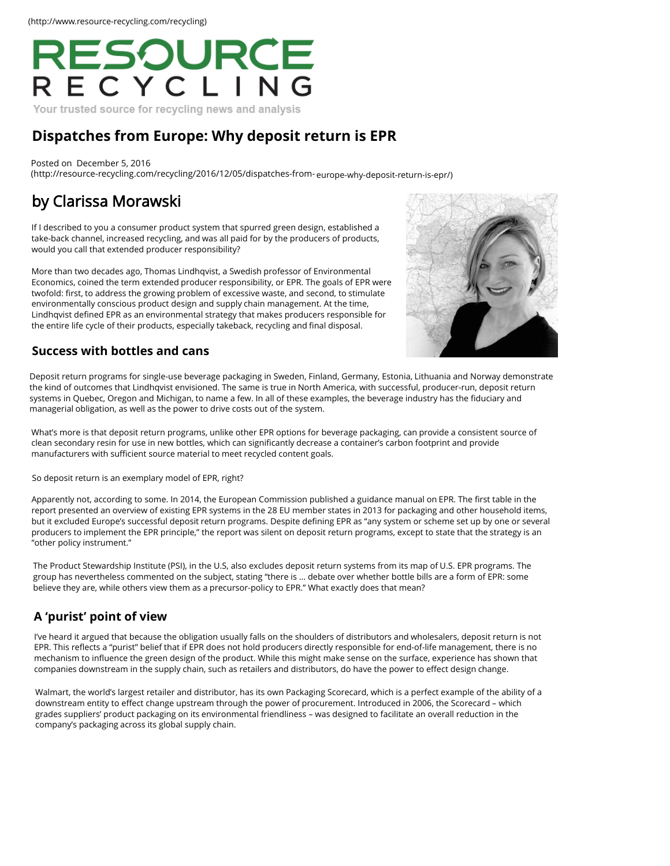

Your trusted source for recycling news and analysis

## **[Dispatches from Europe: Why deposit return is EPR](http://resource-recycling.com/recycling/2016/12/05/dispatches-from-europe-why-deposit-return-is-epr/)**

Posted on December 5, 2016 (http://resource-recycling.com/recycling/2016/12/05/dispatches-from- europe-why-deposit-return-is-epr/)

# [by Clarissa Morawski](http://resource-recycling.com/recycling/2016/12/05/dispatches-from-europe-why-deposit-return-is-epr/)

If I [described to you a consumer product system that s](http://www.reloopplatform.eu/)purred green design, established a take-back channel, increased recycling, and was all paid for by the producers of products, would you call that extended producer responsibility?

More than two decades ago, Thomas Lindhqvist, a Swedish professor of Environmental Economics, coined the term extended producer responsibility, or EPR. The goals of EPR were twofold: first, to address the growing problem of excessive waste, and second, to stimulate environmentally conscious product design and supply chain management. At the time, Lindhqvist defined EPR as an environmental strategy that makes producers responsible for the entire life cycle of their products, especially takeback, recycling and final disposal.



#### **Success with bottles and cans**

Deposit return programs for single-use beverage packaging in Sweden, Finland, Germany, Estonia, Lithuania and [Norway demonstrate](http://resource-recycling.com/recycling/2016/12/12/qa-takeaways-from-the-state-of-curbside-report/)  the kind of outcomes that Lindhqvist envisioned. The same is true in North America, with successful, producer-run, deposit return systems in Quebec, Oregon and Michigan, to name a few. In all of these examples, the beverage industry has the fiduciary and managerial obligation, as well as the power to drive costs out of the system.

What's more is that deposit return programs, unlike other EPR options for beverage packaging, can provide a consistent source of clean secondary resin for use in new bottles, which can significantly decrease a container's carbon footprint and provide manufacturers with sufficient source material to meet recycled content goals.

So deposit return is an exemplary model of EPR, right?

Apparently not, according to some. In 2014, the European Commission published a guidance manual on EPR. The first table in the report presented an overview of existing EPR systems in the 28 EU member states in 2013 for packaging and oth[er household items,](http://resource-recycling.com/recycling/2016/12/12/study-explores-what-works-and-what-doesnt-do-much-in-curbside-recycling/)  but it excluded Europe's successful deposit return programs. Despite defining EPR as "any system or scheme set up by one or several producers to implement the EPR principle," the report was silent on deposit return programs, except to state that the strategy is an "other policy instrument."

The Product Stewardship Institute (PSI), in the U.S, also excludes deposit return systems from its map of U.S. EPR programs. The group has nevertheless commented on the subject, stating "there is … debate over whether bottle bills are a form of EPR: some believe they are, while others view them as a precursor-policy to EPR." What exactly does that mean?

### **A 'purist' point of view**

I've heard it argued that because the obligation usually falls on the shoulders of distributors and wholesalers, deposit return is not EPR. This reflects a "purist" belief that if EPR does not hold producers directly responsible for end-of-life management, there is no mechanism to influence the green design of the product. While this might make sense on the surface, experience has shown that companies downstream in the supply chain, such as retailers and distributors, do have the power to effect design change.

Walmart, the world's largest retailer and distributor, has its own Packaging Scorecard, which is a perfect example of the ability of a downstream entity to effect change upstream through the power of procurement. Introduced in 2006, the Scor[ecard – which](http://resource-recycling.com/recycling/2016/12/12/los-angeles-adopts-commercial-franchise-recycling/)  grades suppliers' product packaging on its environmental friendliness – was designed to facilitate an overall reduction in the company's packaging across its global supply chain.